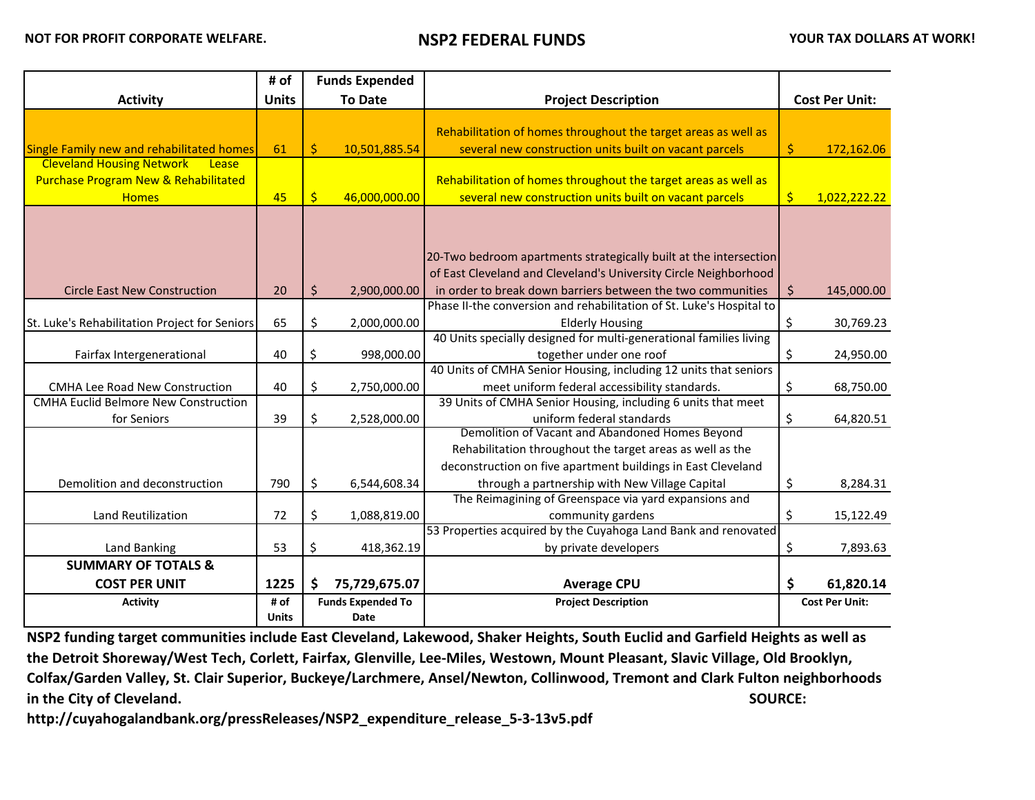|                                                 | # of         |             | <b>Funds Expended</b>    |                                                                                                                                       |                       |                       |
|-------------------------------------------------|--------------|-------------|--------------------------|---------------------------------------------------------------------------------------------------------------------------------------|-----------------------|-----------------------|
| <b>Activity</b>                                 | <b>Units</b> |             | <b>To Date</b>           | <b>Project Description</b>                                                                                                            | <b>Cost Per Unit:</b> |                       |
|                                                 |              |             |                          |                                                                                                                                       |                       |                       |
|                                                 |              |             |                          | Rehabilitation of homes throughout the target areas as well as                                                                        |                       |                       |
| Single Family new and rehabilitated homes       | 61           | \$          | 10,501,885.54            | several new construction units built on vacant parcels                                                                                | \$                    | 172,162.06            |
| <b>Cleveland Housing Network</b><br>Lease       |              |             |                          |                                                                                                                                       |                       |                       |
| <b>Purchase Program New &amp; Rehabilitated</b> |              |             |                          | Rehabilitation of homes throughout the target areas as well as                                                                        |                       |                       |
| <b>Homes</b>                                    | 45           | $\varsigma$ | 46,000,000.00            | several new construction units built on vacant parcels                                                                                | $\frac{1}{2}$         | 1,022,222.22          |
|                                                 |              |             |                          | 20-Two bedroom apartments strategically built at the intersection<br>of East Cleveland and Cleveland's University Circle Neighborhood |                       |                       |
| <b>Circle East New Construction</b>             | 20           | \$          | 2,900,000.00             | in order to break down barriers between the two communities                                                                           | $\zeta$               | 145,000.00            |
|                                                 |              |             |                          | Phase II-the conversion and rehabilitation of St. Luke's Hospital to                                                                  |                       |                       |
| St. Luke's Rehabilitation Project for Seniors   | 65           | \$          | 2,000,000.00             | <b>Elderly Housing</b>                                                                                                                | \$                    | 30,769.23             |
|                                                 |              |             |                          | 40 Units specially designed for multi-generational families living                                                                    |                       |                       |
| Fairfax Intergenerational                       | 40           | \$          | 998,000.00               | together under one roof                                                                                                               | \$                    | 24,950.00             |
|                                                 |              |             |                          | 40 Units of CMHA Senior Housing, including 12 units that seniors                                                                      |                       |                       |
| <b>CMHA Lee Road New Construction</b>           | 40           | \$          | 2,750,000.00             | meet uniform federal accessibility standards.                                                                                         | \$                    | 68,750.00             |
| <b>CMHA Euclid Belmore New Construction</b>     |              |             |                          | 39 Units of CMHA Senior Housing, including 6 units that meet                                                                          |                       |                       |
| for Seniors                                     | 39           | \$          | 2,528,000.00             | uniform federal standards                                                                                                             | \$                    | 64,820.51             |
|                                                 |              |             |                          | Demolition of Vacant and Abandoned Homes Beyond                                                                                       |                       |                       |
|                                                 |              |             |                          | Rehabilitation throughout the target areas as well as the                                                                             |                       |                       |
|                                                 |              |             |                          | deconstruction on five apartment buildings in East Cleveland                                                                          |                       |                       |
| Demolition and deconstruction                   | 790          | \$          | 6,544,608.34             | through a partnership with New Village Capital                                                                                        | \$                    | 8,284.31              |
|                                                 |              |             |                          | The Reimagining of Greenspace via yard expansions and                                                                                 |                       |                       |
| Land Reutilization                              | 72           | \$          | 1,088,819.00             | community gardens                                                                                                                     | \$                    | 15,122.49             |
|                                                 |              |             |                          | 53 Properties acquired by the Cuyahoga Land Bank and renovated                                                                        |                       |                       |
| Land Banking                                    | 53           | \$          | 418,362.19               | by private developers                                                                                                                 | \$                    | 7,893.63              |
| <b>SUMMARY OF TOTALS &amp;</b>                  |              |             |                          |                                                                                                                                       |                       |                       |
| <b>COST PER UNIT</b>                            | 1225         | \$.         | 75,729,675.07            | <b>Average CPU</b>                                                                                                                    | \$                    | 61,820.14             |
| <b>Activity</b>                                 | # of         |             | <b>Funds Expended To</b> | <b>Project Description</b>                                                                                                            |                       | <b>Cost Per Unit:</b> |
|                                                 | <b>Units</b> |             | Date                     |                                                                                                                                       |                       |                       |

**NSP2 funding target communities include East Cleveland, Lakewood, Shaker Heights, South Euclid and Garfield Heights as well as the Detroit Shoreway/West Tech, Corlett, Fairfax, Glenville, Lee-Miles, Westown, Mount Pleasant, Slavic Village, Old Brooklyn, Colfax/Garden Valley, St. Clair Superior, Buckeye/Larchmere, Ansel/Newton, Collinwood, Tremont and Clark Fulton neighborhoods in the City of Cleveland.** SOURCE:

**http://cuyahogalandbank.org/pressReleases/NSP2\_expenditure\_release\_5-3-13v5.pdf**